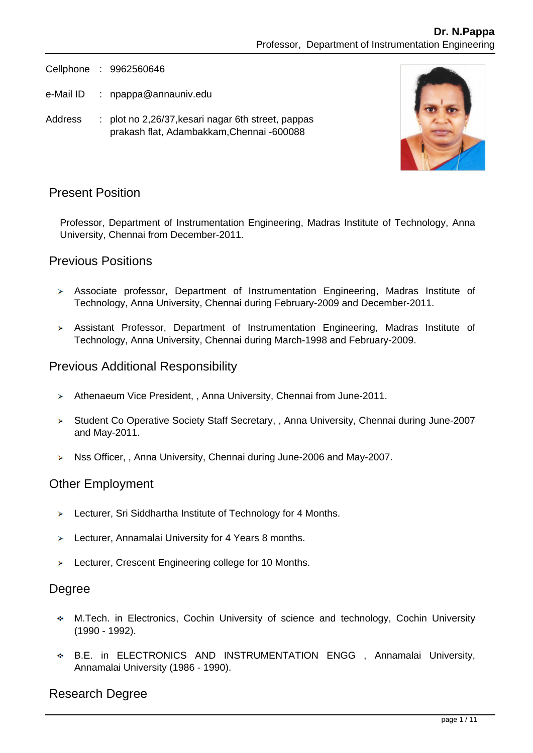Cellphone : 9962560646

- e-Mail ID : npappa@annauniv.edu
- Address : plot no 2,26/37, kesari nagar 6th street, pappas prakash flat, Adambakkam,Chennai -600088



# Present Position

Professor, Department of Instrumentation Engineering, Madras Institute of Technology, Anna University, Chennai from December-2011.

#### Previous Positions

- Associate professor, Department of Instrumentation Engineering, Madras Institute of Technology, Anna University, Chennai during February-2009 and December-2011.
- Assistant Professor, Department of Instrumentation Engineering, Madras Institute of Technology, Anna University, Chennai during March-1998 and February-2009.

#### Previous Additional Responsibility

- > Athenaeum Vice President, , Anna University, Chennai from June-2011.
- > Student Co Operative Society Staff Secretary, , Anna University, Chennai during June-2007 and May-2011.
- ▶ Nss Officer, , Anna University, Chennai during June-2006 and May-2007.

#### Other Employment

- > Lecturer, Sri Siddhartha Institute of Technology for 4 Months.
- Lecturer, Annamalai University for 4 Years 8 months.
- > Lecturer, Crescent Engineering college for 10 Months.

#### **Degree**

- M.Tech. in Electronics, Cochin University of science and technology, Cochin University (1990 - 1992).
- B.E. in ELECTRONICS AND INSTRUMENTATION ENGG , Annamalai University, Annamalai University (1986 - 1990).

# Research Degree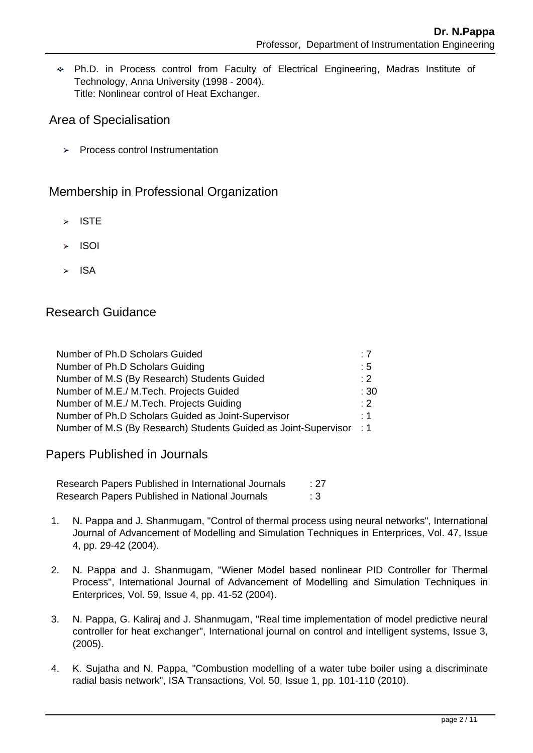Ph.D. in Process control from Faculty of Electrical Engineering, Madras Institute of Technology, Anna University (1998 - 2004). Title: Nonlinear control of Heat Exchanger.

# Area of Specialisation

**>** Process control Instrumentation

# Membership in Professional Organization

- $\triangleright$  ISTE
- $\geq$  ISOI
- $\blacktriangleright$  ISA

# Research Guidance

| Number of Ph.D Scholars Guided                                  | :7       |
|-----------------------------------------------------------------|----------|
| Number of Ph.D Scholars Guiding                                 | :5       |
| Number of M.S (By Research) Students Guided                     | $\div 2$ |
| Number of M.E./ M.Tech. Projects Guided                         | :30      |
| Number of M.E./ M.Tech. Projects Guiding                        | $: 2^-$  |
| Number of Ph.D Scholars Guided as Joint-Supervisor              | : 1      |
| Number of M.S (By Research) Students Guided as Joint-Supervisor | $\div$ 1 |

Papers Published in Journals

Research Papers Published in International Journals : 27 Research Papers Published in National Journals : 3

- 1. N. Pappa and J. Shanmugam, "Control of thermal process using neural networks", International Journal of Advancement of Modelling and Simulation Techniques in Enterprices, Vol. 47, Issue 4, pp. 29-42 (2004).
- 2. N. Pappa and J. Shanmugam, "Wiener Model based nonlinear PID Controller for Thermal Process", International Journal of Advancement of Modelling and Simulation Techniques in Enterprices, Vol. 59, Issue 4, pp. 41-52 (2004).
- 3. N. Pappa, G. Kaliraj and J. Shanmugam, "Real time implementation of model predictive neural controller for heat exchanger", International journal on control and intelligent systems, Issue 3, (2005).
- 4. K. Sujatha and N. Pappa, "Combustion modelling of a water tube boiler using a discriminate radial basis network", ISA Transactions, Vol. 50, Issue 1, pp. 101-110 (2010).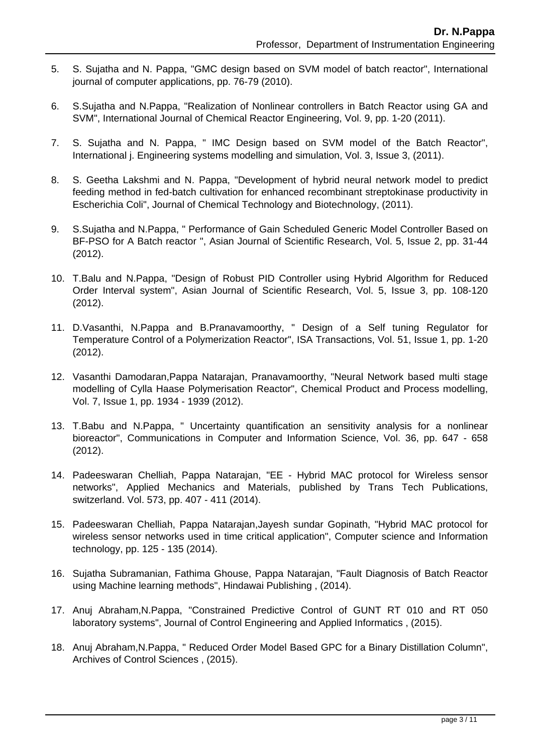- 5. S. Sujatha and N. Pappa, "GMC design based on SVM model of batch reactor", International journal of computer applications, pp. 76-79 (2010).
- 6. S.Sujatha and N.Pappa, "Realization of Nonlinear controllers in Batch Reactor using GA and SVM", International Journal of Chemical Reactor Engineering, Vol. 9, pp. 1-20 (2011).
- 7. S. Sujatha and N. Pappa, " IMC Design based on SVM model of the Batch Reactor", International j. Engineering systems modelling and simulation, Vol. 3, Issue 3, (2011).
- 8. S. Geetha Lakshmi and N. Pappa, "Development of hybrid neural network model to predict feeding method in fed-batch cultivation for enhanced recombinant streptokinase productivity in Escherichia Coli", Journal of Chemical Technology and Biotechnology, (2011).
- 9. S.Sujatha and N.Pappa, " Performance of Gain Scheduled Generic Model Controller Based on BF-PSO for A Batch reactor ", Asian Journal of Scientific Research, Vol. 5, Issue 2, pp. 31-44 (2012).
- 10. T.Balu and N.Pappa, "Design of Robust PID Controller using Hybrid Algorithm for Reduced Order Interval system", Asian Journal of Scientific Research, Vol. 5, Issue 3, pp. 108-120 (2012).
- 11. D.Vasanthi, N.Pappa and B.Pranavamoorthy, " Design of a Self tuning Regulator for Temperature Control of a Polymerization Reactor", ISA Transactions, Vol. 51, Issue 1, pp. 1-20 (2012).
- 12. Vasanthi Damodaran,Pappa Natarajan, Pranavamoorthy, "Neural Network based multi stage modelling of Cylla Haase Polymerisation Reactor", Chemical Product and Process modelling, Vol. 7, Issue 1, pp. 1934 - 1939 (2012).
- 13. T.Babu and N.Pappa, " Uncertainty quantification an sensitivity analysis for a nonlinear bioreactor", Communications in Computer and Information Science, Vol. 36, pp. 647 - 658 (2012).
- 14. Padeeswaran Chelliah, Pappa Natarajan, "EE Hybrid MAC protocol for Wireless sensor networks", Applied Mechanics and Materials, published by Trans Tech Publications, switzerland. Vol. 573, pp. 407 - 411 (2014).
- 15. Padeeswaran Chelliah, Pappa Natarajan,Jayesh sundar Gopinath, "Hybrid MAC protocol for wireless sensor networks used in time critical application", Computer science and Information technology, pp. 125 - 135 (2014).
- 16. Sujatha Subramanian, Fathima Ghouse, Pappa Natarajan, "Fault Diagnosis of Batch Reactor using Machine learning methods", Hindawai Publishing , (2014).
- 17. Anuj Abraham,N.Pappa, "Constrained Predictive Control of GUNT RT 010 and RT 050 laboratory systems", Journal of Control Engineering and Applied Informatics , (2015).
- 18. Anuj Abraham,N.Pappa, " Reduced Order Model Based GPC for a Binary Distillation Column", Archives of Control Sciences , (2015).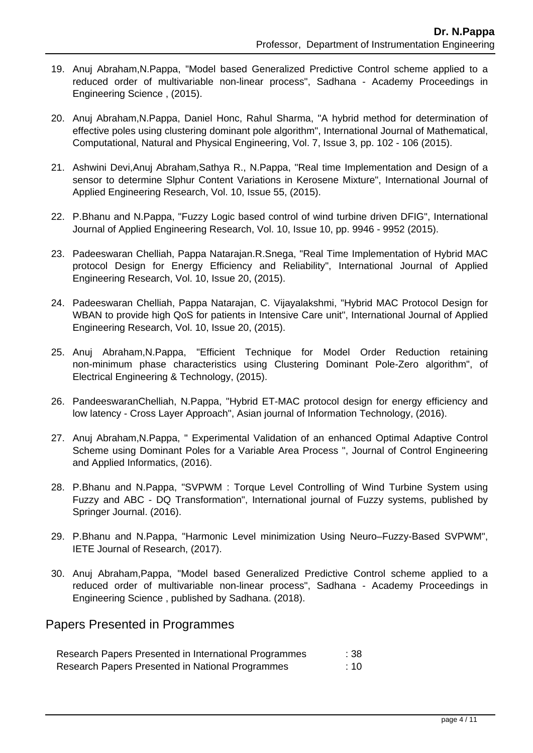- 19. Anuj Abraham,N.Pappa, "Model based Generalized Predictive Control scheme applied to a reduced order of multivariable non-linear process", Sadhana - Academy Proceedings in Engineering Science , (2015).
- 20. Anuj Abraham,N.Pappa, Daniel Honc, Rahul Sharma, "A hybrid method for determination of effective poles using clustering dominant pole algorithm", International Journal of Mathematical, Computational, Natural and Physical Engineering, Vol. 7, Issue 3, pp. 102 - 106 (2015).
- 21. Ashwini Devi,Anuj Abraham,Sathya R., N.Pappa, "Real time Implementation and Design of a sensor to determine Slphur Content Variations in Kerosene Mixture", International Journal of Applied Engineering Research, Vol. 10, Issue 55, (2015).
- 22. P.Bhanu and N.Pappa, "Fuzzy Logic based control of wind turbine driven DFIG", International Journal of Applied Engineering Research, Vol. 10, Issue 10, pp. 9946 - 9952 (2015).
- 23. Padeeswaran Chelliah, Pappa Natarajan.R.Snega, "Real Time Implementation of Hybrid MAC protocol Design for Energy Efficiency and Reliability", International Journal of Applied Engineering Research, Vol. 10, Issue 20, (2015).
- 24. Padeeswaran Chelliah, Pappa Natarajan, C. Vijayalakshmi, "Hybrid MAC Protocol Design for WBAN to provide high QoS for patients in Intensive Care unit", International Journal of Applied Engineering Research, Vol. 10, Issue 20, (2015).
- 25. Anuj Abraham,N.Pappa, "Efficient Technique for Model Order Reduction retaining non-minimum phase characteristics using Clustering Dominant Pole-Zero algorithm", of Electrical Engineering & Technology, (2015).
- 26. PandeeswaranChelliah, N.Pappa, "Hybrid ET-MAC protocol design for energy efficiency and low latency - Cross Layer Approach", Asian journal of Information Technology, (2016).
- 27. Anuj Abraham,N.Pappa, " Experimental Validation of an enhanced Optimal Adaptive Control Scheme using Dominant Poles for a Variable Area Process ", Journal of Control Engineering and Applied Informatics, (2016).
- 28. P.Bhanu and N.Pappa, "SVPWM : Torque Level Controlling of Wind Turbine System using Fuzzy and ABC - DQ Transformation", International journal of Fuzzy systems, published by Springer Journal. (2016).
- 29. P.Bhanu and N.Pappa, "Harmonic Level minimization Using Neuro–Fuzzy-Based SVPWM", IETE Journal of Research, (2017).
- 30. Anuj Abraham,Pappa, "Model based Generalized Predictive Control scheme applied to a reduced order of multivariable non-linear process", Sadhana - Academy Proceedings in Engineering Science , published by Sadhana. (2018).

# Papers Presented in Programmes

| Research Papers Presented in International Programmes | :38: |
|-------------------------------------------------------|------|
| Research Papers Presented in National Programmes      | :10  |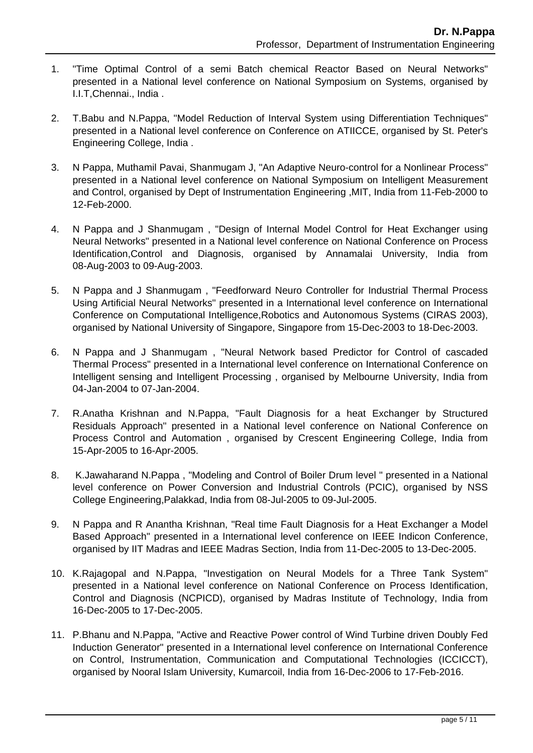- 1. "Time Optimal Control of a semi Batch chemical Reactor Based on Neural Networks" presented in a National level conference on National Symposium on Systems, organised by I.I.T,Chennai., India .
- 2. T.Babu and N.Pappa, "Model Reduction of Interval System using Differentiation Techniques" presented in a National level conference on Conference on ATIICCE, organised by St. Peter's Engineering College, India .
- 3. N Pappa, Muthamil Pavai, Shanmugam J, "An Adaptive Neuro-control for a Nonlinear Process" presented in a National level conference on National Symposium on Intelligent Measurement and Control, organised by Dept of Instrumentation Engineering ,MIT, India from 11-Feb-2000 to 12-Feb-2000.
- 4. N Pappa and J Shanmugam , "Design of Internal Model Control for Heat Exchanger using Neural Networks" presented in a National level conference on National Conference on Process Identification,Control and Diagnosis, organised by Annamalai University, India from 08-Aug-2003 to 09-Aug-2003.
- 5. N Pappa and J Shanmugam , "Feedforward Neuro Controller for Industrial Thermal Process Using Artificial Neural Networks" presented in a International level conference on International Conference on Computational Intelligence,Robotics and Autonomous Systems (CIRAS 2003), organised by National University of Singapore, Singapore from 15-Dec-2003 to 18-Dec-2003.
- 6. N Pappa and J Shanmugam , "Neural Network based Predictor for Control of cascaded Thermal Process" presented in a International level conference on International Conference on Intelligent sensing and Intelligent Processing , organised by Melbourne University, India from 04-Jan-2004 to 07-Jan-2004.
- 7. R.Anatha Krishnan and N.Pappa, "Fault Diagnosis for a heat Exchanger by Structured Residuals Approach" presented in a National level conference on National Conference on Process Control and Automation , organised by Crescent Engineering College, India from 15-Apr-2005 to 16-Apr-2005.
- 8. K.Jawaharand N.Pappa , "Modeling and Control of Boiler Drum level " presented in a National level conference on Power Conversion and Industrial Controls (PCIC), organised by NSS College Engineering,Palakkad, India from 08-Jul-2005 to 09-Jul-2005.
- 9. N Pappa and R Anantha Krishnan, "Real time Fault Diagnosis for a Heat Exchanger a Model Based Approach" presented in a International level conference on IEEE Indicon Conference, organised by IIT Madras and IEEE Madras Section, India from 11-Dec-2005 to 13-Dec-2005.
- 10. K.Rajagopal and N.Pappa, "Investigation on Neural Models for a Three Tank System" presented in a National level conference on National Conference on Process Identification, Control and Diagnosis (NCPICD), organised by Madras Institute of Technology, India from 16-Dec-2005 to 17-Dec-2005.
- 11. P.Bhanu and N.Pappa, "Active and Reactive Power control of Wind Turbine driven Doubly Fed Induction Generator" presented in a International level conference on International Conference on Control, Instrumentation, Communication and Computational Technologies (ICCICCT), organised by Nooral Islam University, Kumarcoil, India from 16-Dec-2006 to 17-Feb-2016.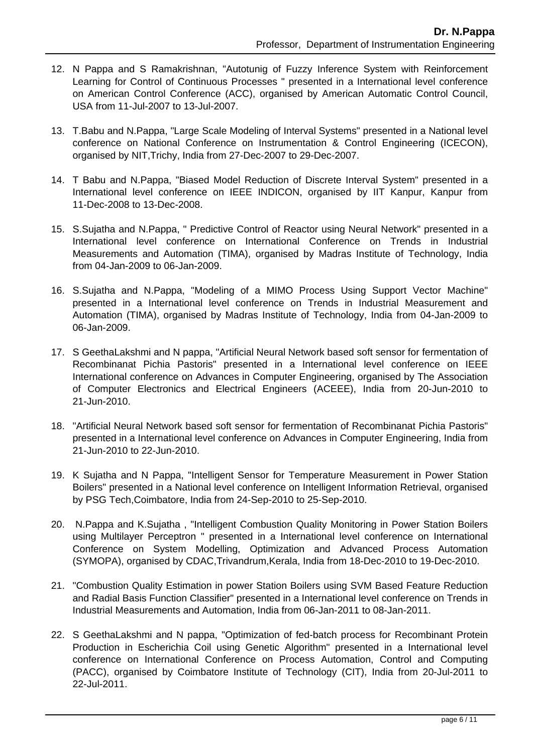- 12. N Pappa and S Ramakrishnan, "Autotunig of Fuzzy Inference System with Reinforcement Learning for Control of Continuous Processes " presented in a International level conference on American Control Conference (ACC), organised by American Automatic Control Council, USA from 11-Jul-2007 to 13-Jul-2007.
- 13. T.Babu and N.Pappa, "Large Scale Modeling of Interval Systems" presented in a National level conference on National Conference on Instrumentation & Control Engineering (ICECON), organised by NIT,Trichy, India from 27-Dec-2007 to 29-Dec-2007.
- 14. T Babu and N.Pappa, "Biased Model Reduction of Discrete Interval System" presented in a International level conference on IEEE INDICON, organised by IIT Kanpur, Kanpur from 11-Dec-2008 to 13-Dec-2008.
- 15. S.Sujatha and N.Pappa, " Predictive Control of Reactor using Neural Network" presented in a International level conference on International Conference on Trends in Industrial Measurements and Automation (TIMA), organised by Madras Institute of Technology, India from 04-Jan-2009 to 06-Jan-2009.
- 16. S.Sujatha and N.Pappa, "Modeling of a MIMO Process Using Support Vector Machine" presented in a International level conference on Trends in Industrial Measurement and Automation (TIMA), organised by Madras Institute of Technology, India from 04-Jan-2009 to 06-Jan-2009.
- 17. S GeethaLakshmi and N pappa, "Artificial Neural Network based soft sensor for fermentation of Recombinanat Pichia Pastoris" presented in a International level conference on IEEE International conference on Advances in Computer Engineering, organised by The Association of Computer Electronics and Electrical Engineers (ACEEE), India from 20-Jun-2010 to 21-Jun-2010.
- 18. "Artificial Neural Network based soft sensor for fermentation of Recombinanat Pichia Pastoris" presented in a International level conference on Advances in Computer Engineering, India from 21-Jun-2010 to 22-Jun-2010.
- 19. K Sujatha and N Pappa, "Intelligent Sensor for Temperature Measurement in Power Station Boilers" presented in a National level conference on Intelligent Information Retrieval, organised by PSG Tech,Coimbatore, India from 24-Sep-2010 to 25-Sep-2010.
- 20. N.Pappa and K.Sujatha , "Intelligent Combustion Quality Monitoring in Power Station Boilers using Multilayer Perceptron " presented in a International level conference on International Conference on System Modelling, Optimization and Advanced Process Automation (SYMOPA), organised by CDAC,Trivandrum,Kerala, India from 18-Dec-2010 to 19-Dec-2010.
- 21. "Combustion Quality Estimation in power Station Boilers using SVM Based Feature Reduction and Radial Basis Function Classifier" presented in a International level conference on Trends in Industrial Measurements and Automation, India from 06-Jan-2011 to 08-Jan-2011.
- 22. S GeethaLakshmi and N pappa, "Optimization of fed-batch process for Recombinant Protein Production in Escherichia Coil using Genetic Algorithm" presented in a International level conference on International Conference on Process Automation, Control and Computing (PACC), organised by Coimbatore Institute of Technology (CIT), India from 20-Jul-2011 to 22-Jul-2011.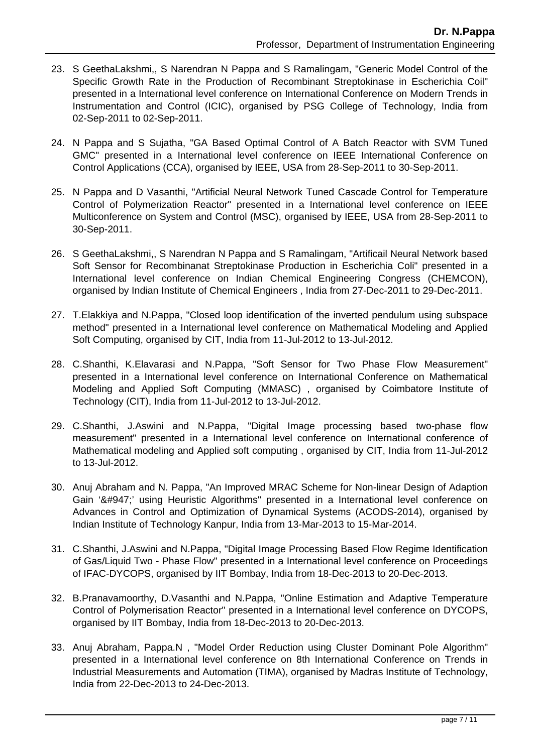- 23. S GeethaLakshmi,, S Narendran N Pappa and S Ramalingam, "Generic Model Control of the Specific Growth Rate in the Production of Recombinant Streptokinase in Escherichia Coil" presented in a International level conference on International Conference on Modern Trends in Instrumentation and Control (ICIC), organised by PSG College of Technology, India from 02-Sep-2011 to 02-Sep-2011.
- 24. N Pappa and S Sujatha, "GA Based Optimal Control of A Batch Reactor with SVM Tuned GMC" presented in a International level conference on IEEE International Conference on Control Applications (CCA), organised by IEEE, USA from 28-Sep-2011 to 30-Sep-2011.
- 25. N Pappa and D Vasanthi, "Artificial Neural Network Tuned Cascade Control for Temperature Control of Polymerization Reactor" presented in a International level conference on IEEE Multiconference on System and Control (MSC), organised by IEEE, USA from 28-Sep-2011 to 30-Sep-2011.
- 26. S GeethaLakshmi,, S Narendran N Pappa and S Ramalingam, "Artificail Neural Network based Soft Sensor for Recombinanat Streptokinase Production in Escherichia Coli" presented in a International level conference on Indian Chemical Engineering Congress (CHEMCON), organised by Indian Institute of Chemical Engineers , India from 27-Dec-2011 to 29-Dec-2011.
- 27. T.Elakkiya and N.Pappa, "Closed loop identification of the inverted pendulum using subspace method" presented in a International level conference on Mathematical Modeling and Applied Soft Computing, organised by CIT, India from 11-Jul-2012 to 13-Jul-2012.
- 28. C.Shanthi, K.Elavarasi and N.Pappa, "Soft Sensor for Two Phase Flow Measurement" presented in a International level conference on International Conference on Mathematical Modeling and Applied Soft Computing (MMASC) , organised by Coimbatore Institute of Technology (CIT), India from 11-Jul-2012 to 13-Jul-2012.
- 29. C.Shanthi, J.Aswini and N.Pappa, "Digital Image processing based two-phase flow measurement" presented in a International level conference on International conference of Mathematical modeling and Applied soft computing , organised by CIT, India from 11-Jul-2012 to 13-Jul-2012.
- 30. Anuj Abraham and N. Pappa, "An Improved MRAC Scheme for Non-linear Design of Adaption Gain 'γ' using Heuristic Algorithms" presented in a International level conference on Advances in Control and Optimization of Dynamical Systems (ACODS-2014), organised by Indian Institute of Technology Kanpur, India from 13-Mar-2013 to 15-Mar-2014.
- 31. C.Shanthi, J.Aswini and N.Pappa, "Digital Image Processing Based Flow Regime Identification of Gas/Liquid Two - Phase Flow" presented in a International level conference on Proceedings of IFAC-DYCOPS, organised by IIT Bombay, India from 18-Dec-2013 to 20-Dec-2013.
- 32. B.Pranavamoorthy, D.Vasanthi and N.Pappa, "Online Estimation and Adaptive Temperature Control of Polymerisation Reactor" presented in a International level conference on DYCOPS, organised by IIT Bombay, India from 18-Dec-2013 to 20-Dec-2013.
- 33. Anuj Abraham, Pappa.N , "Model Order Reduction using Cluster Dominant Pole Algorithm" presented in a International level conference on 8th International Conference on Trends in Industrial Measurements and Automation (TIMA), organised by Madras Institute of Technology, India from 22-Dec-2013 to 24-Dec-2013.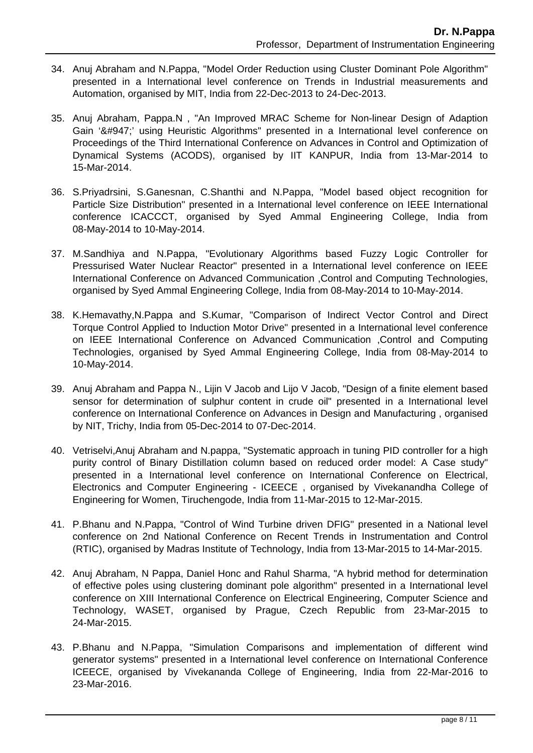- 34. Anuj Abraham and N.Pappa, "Model Order Reduction using Cluster Dominant Pole Algorithm" presented in a International level conference on Trends in Industrial measurements and Automation, organised by MIT, India from 22-Dec-2013 to 24-Dec-2013.
- 35. Anuj Abraham, Pappa.N , "An Improved MRAC Scheme for Non-linear Design of Adaption Gain 'γ' using Heuristic Algorithms" presented in a International level conference on Proceedings of the Third International Conference on Advances in Control and Optimization of Dynamical Systems (ACODS), organised by IIT KANPUR, India from 13-Mar-2014 to 15-Mar-2014.
- 36. S.Priyadrsini, S.Ganesnan, C.Shanthi and N.Pappa, "Model based object recognition for Particle Size Distribution" presented in a International level conference on IEEE International conference ICACCCT, organised by Syed Ammal Engineering College, India from 08-May-2014 to 10-May-2014.
- 37. M.Sandhiya and N.Pappa, "Evolutionary Algorithms based Fuzzy Logic Controller for Pressurised Water Nuclear Reactor" presented in a International level conference on IEEE International Conference on Advanced Communication ,Control and Computing Technologies, organised by Syed Ammal Engineering College, India from 08-May-2014 to 10-May-2014.
- 38. K.Hemavathy,N.Pappa and S.Kumar, "Comparison of Indirect Vector Control and Direct Torque Control Applied to Induction Motor Drive" presented in a International level conference on IEEE International Conference on Advanced Communication ,Control and Computing Technologies, organised by Syed Ammal Engineering College, India from 08-May-2014 to 10-May-2014.
- 39. Anuj Abraham and Pappa N., Lijin V Jacob and Lijo V Jacob, "Design of a finite element based sensor for determination of sulphur content in crude oil" presented in a International level conference on International Conference on Advances in Design and Manufacturing , organised by NIT, Trichy, India from 05-Dec-2014 to 07-Dec-2014.
- 40. Vetriselvi,Anuj Abraham and N.pappa, "Systematic approach in tuning PID controller for a high purity control of Binary Distillation column based on reduced order model: A Case study" presented in a International level conference on International Conference on Electrical, Electronics and Computer Engineering - ICEECE , organised by Vivekanandha College of Engineering for Women, Tiruchengode, India from 11-Mar-2015 to 12-Mar-2015.
- 41. P.Bhanu and N.Pappa, "Control of Wind Turbine driven DFIG" presented in a National level conference on 2nd National Conference on Recent Trends in Instrumentation and Control (RTIC), organised by Madras Institute of Technology, India from 13-Mar-2015 to 14-Mar-2015.
- 42. Anuj Abraham, N Pappa, Daniel Honc and Rahul Sharma, "A hybrid method for determination of effective poles using clustering dominant pole algorithm" presented in a International level conference on XIII International Conference on Electrical Engineering, Computer Science and Technology, WASET, organised by Prague, Czech Republic from 23-Mar-2015 to 24-Mar-2015.
- 43. P.Bhanu and N.Pappa, "Simulation Comparisons and implementation of different wind generator systems" presented in a International level conference on International Conference ICEECE, organised by Vivekananda College of Engineering, India from 22-Mar-2016 to 23-Mar-2016.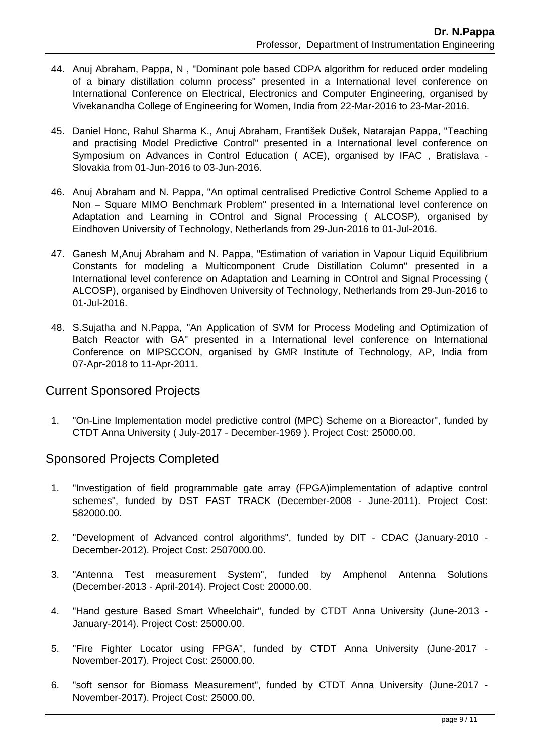- 44. Anuj Abraham, Pappa, N , "Dominant pole based CDPA algorithm for reduced order modeling of a binary distillation column process" presented in a International level conference on International Conference on Electrical, Electronics and Computer Engineering, organised by Vivekanandha College of Engineering for Women, India from 22-Mar-2016 to 23-Mar-2016.
- 45. Daniel Honc, Rahul Sharma K., Anuj Abraham, František Dušek, Natarajan Pappa, "Teaching and practising Model Predictive Control" presented in a International level conference on Symposium on Advances in Control Education ( ACE), organised by IFAC , Bratislava - Slovakia from 01-Jun-2016 to 03-Jun-2016.
- 46. Anuj Abraham and N. Pappa, "An optimal centralised Predictive Control Scheme Applied to a Non – Square MIMO Benchmark Problem" presented in a International level conference on Adaptation and Learning in COntrol and Signal Processing ( ALCOSP), organised by Eindhoven University of Technology, Netherlands from 29-Jun-2016 to 01-Jul-2016.
- 47. Ganesh M,Anuj Abraham and N. Pappa, "Estimation of variation in Vapour Liquid Equilibrium Constants for modeling a Multicomponent Crude Distillation Column" presented in a International level conference on Adaptation and Learning in COntrol and Signal Processing ( ALCOSP), organised by Eindhoven University of Technology, Netherlands from 29-Jun-2016 to 01-Jul-2016.
- 48. S.Sujatha and N.Pappa, "An Application of SVM for Process Modeling and Optimization of Batch Reactor with GA" presented in a International level conference on International Conference on MIPSCCON, organised by GMR Institute of Technology, AP, India from 07-Apr-2018 to 11-Apr-2011.

# Current Sponsored Projects

 1. "On-Line Implementation model predictive control (MPC) Scheme on a Bioreactor", funded by CTDT Anna University ( July-2017 - December-1969 ). Project Cost: 25000.00.

# Sponsored Projects Completed

- 1. "Investigation of field programmable gate array (FPGA)implementation of adaptive control schemes", funded by DST FAST TRACK (December-2008 - June-2011). Project Cost: 582000.00.
- 2. "Development of Advanced control algorithms", funded by DIT CDAC (January-2010 December-2012). Project Cost: 2507000.00.
- 3. "Antenna Test measurement System", funded by Amphenol Antenna Solutions (December-2013 - April-2014). Project Cost: 20000.00.
- 4. "Hand gesture Based Smart Wheelchair", funded by CTDT Anna University (June-2013 January-2014). Project Cost: 25000.00.
- 5. "Fire Fighter Locator using FPGA", funded by CTDT Anna University (June-2017 November-2017). Project Cost: 25000.00.
- 6. "soft sensor for Biomass Measurement", funded by CTDT Anna University (June-2017 November-2017). Project Cost: 25000.00.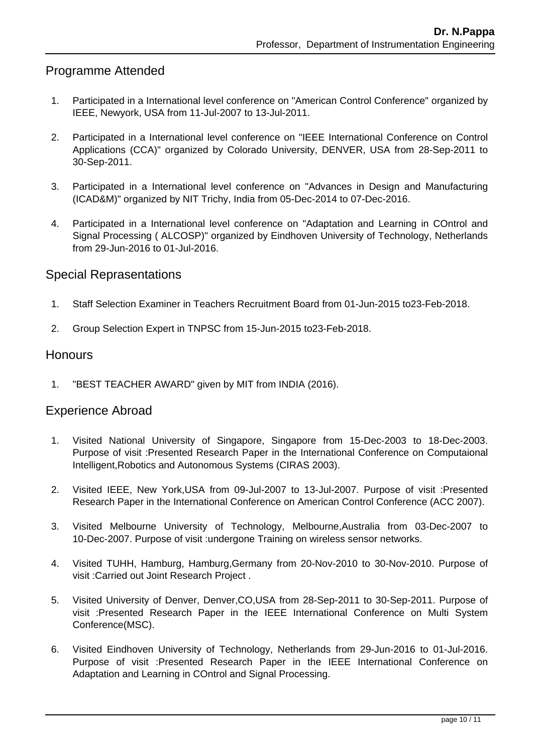# Programme Attended

- 1. Participated in a International level conference on "American Control Conference" organized by IEEE, Newyork, USA from 11-Jul-2007 to 13-Jul-2011.
- 2. Participated in a International level conference on "IEEE International Conference on Control Applications (CCA)" organized by Colorado University, DENVER, USA from 28-Sep-2011 to 30-Sep-2011.
- 3. Participated in a International level conference on "Advances in Design and Manufacturing (ICAD&M)" organized by NIT Trichy, India from 05-Dec-2014 to 07-Dec-2016.
- 4. Participated in a International level conference on "Adaptation and Learning in COntrol and Signal Processing ( ALCOSP)" organized by Eindhoven University of Technology, Netherlands from 29-Jun-2016 to 01-Jul-2016.

#### Special Reprasentations

- 1. Staff Selection Examiner in Teachers Recruitment Board from 01-Jun-2015 to23-Feb-2018.
- 2. Group Selection Expert in TNPSC from 15-Jun-2015 to23-Feb-2018.

#### Honours

1. "BEST TEACHER AWARD" given by MIT from INDIA (2016).

#### Experience Abroad

- 1. Visited National University of Singapore, Singapore from 15-Dec-2003 to 18-Dec-2003. Purpose of visit :Presented Research Paper in the International Conference on Computaional Intelligent,Robotics and Autonomous Systems (CIRAS 2003).
- 2. Visited IEEE, New York,USA from 09-Jul-2007 to 13-Jul-2007. Purpose of visit :Presented Research Paper in the International Conference on American Control Conference (ACC 2007).
- 3. Visited Melbourne University of Technology, Melbourne,Australia from 03-Dec-2007 to 10-Dec-2007. Purpose of visit :undergone Training on wireless sensor networks.
- 4. Visited TUHH, Hamburg, Hamburg,Germany from 20-Nov-2010 to 30-Nov-2010. Purpose of visit :Carried out Joint Research Project .
- 5. Visited University of Denver, Denver,CO,USA from 28-Sep-2011 to 30-Sep-2011. Purpose of visit :Presented Research Paper in the IEEE International Conference on Multi System Conference(MSC).
- 6. Visited Eindhoven University of Technology, Netherlands from 29-Jun-2016 to 01-Jul-2016. Purpose of visit :Presented Research Paper in the IEEE International Conference on Adaptation and Learning in COntrol and Signal Processing.